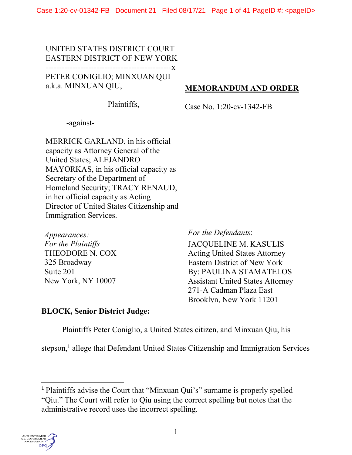UNITED STATES DISTRICT COURT EASTERN DISTRICT OF NEW YORK -----------------------------------------------x PETER CONIGLIO; MINXUAN QUI a.k.a. MINXUAN QIU,

# MEMORANDUM AND ORDER

Plaintiffs,

Case No. 1:20-cv-1342-FB

-against-

MERRICK GARLAND, in his official capacity as Attorney General of the United States; ALEJANDRO MAYORKAS, in his official capacity as Secretary of the Department of Homeland Security; TRACY RENAUD, in her official capacity as Acting Director of United States Citizenship and Immigration Services.

Appearances: For the Plaintiffs THEODORE N. COX 325 Broadway Suite 201 New York, NY 10007

For the Defendants:

JACQUELINE M. KASULIS Acting United States Attorney Eastern District of New York By: PAULINA STAMATELOS Assistant United States Attorney 271-A Cadman Plaza East Brooklyn, New York 11201

### BLOCK, Senior District Judge:

Plaintiffs Peter Coniglio, a United States citizen, and Minxuan Qiu, his

stepson,<sup>1</sup> allege that Defendant United States Citizenship and Immigration Services

<sup>1</sup> Plaintiffs advise the Court that "Minxuan Qui's" surname is properly spelled "Qiu." The Court will refer to Qiu using the correct spelling but notes that the administrative record uses the incorrect spelling.

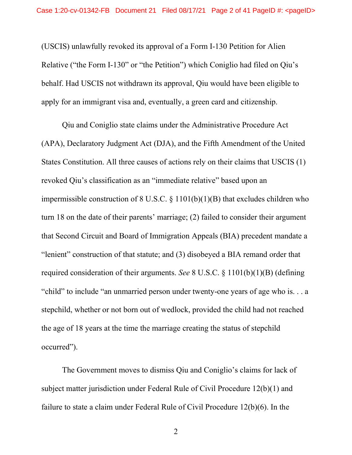(USCIS) unlawfully revoked its approval of a Form I-130 Petition for Alien Relative ("the Form I-130" or "the Petition") which Coniglio had filed on Qiu's behalf. Had USCIS not withdrawn its approval, Qiu would have been eligible to apply for an immigrant visa and, eventually, a green card and citizenship.

 Qiu and Coniglio state claims under the Administrative Procedure Act (APA), Declaratory Judgment Act (DJA), and the Fifth Amendment of the United States Constitution. All three causes of actions rely on their claims that USCIS (1) revoked Qiu's classification as an "immediate relative" based upon an impermissible construction of 8 U.S.C.  $\S$  1101(b)(1)(B) that excludes children who turn 18 on the date of their parents' marriage; (2) failed to consider their argument that Second Circuit and Board of Immigration Appeals (BIA) precedent mandate a "lenient" construction of that statute; and (3) disobeyed a BIA remand order that required consideration of their arguments. See 8 U.S.C.  $\S$  1101(b)(1)(B) (defining "child" to include "an unmarried person under twenty-one years of age who is. . . a stepchild, whether or not born out of wedlock, provided the child had not reached the age of 18 years at the time the marriage creating the status of stepchild occurred").

 The Government moves to dismiss Qiu and Coniglio's claims for lack of subject matter jurisdiction under Federal Rule of Civil Procedure 12(b)(1) and failure to state a claim under Federal Rule of Civil Procedure 12(b)(6). In the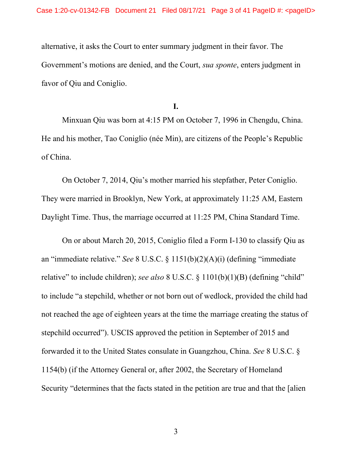alternative, it asks the Court to enter summary judgment in their favor. The Government's motions are denied, and the Court, *sua sponte*, enters judgment in favor of Qiu and Coniglio.

I.

 Minxuan Qiu was born at 4:15 PM on October 7, 1996 in Chengdu, China. He and his mother, Tao Coniglio (née Min), are citizens of the People's Republic of China.

 On October 7, 2014, Qiu's mother married his stepfather, Peter Coniglio. They were married in Brooklyn, New York, at approximately 11:25 AM, Eastern Daylight Time. Thus, the marriage occurred at 11:25 PM, China Standard Time.

 On or about March 20, 2015, Coniglio filed a Form I-130 to classify Qiu as an "immediate relative." See 8 U.S.C. § 1151(b)(2)(A)(i) (defining "immediate relative" to include children); see also 8 U.S.C. § 1101(b)(1)(B) (defining "child" to include "a stepchild, whether or not born out of wedlock, provided the child had not reached the age of eighteen years at the time the marriage creating the status of stepchild occurred"). USCIS approved the petition in September of 2015 and forwarded it to the United States consulate in Guangzhou, China. See 8 U.S.C. § 1154(b) (if the Attorney General or, after 2002, the Secretary of Homeland Security "determines that the facts stated in the petition are true and that the [alien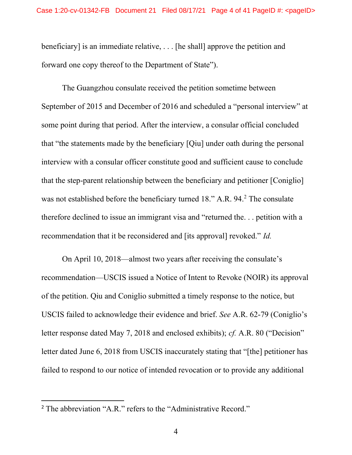beneficiary] is an immediate relative, . . . [he shall] approve the petition and forward one copy thereof to the Department of State").

 The Guangzhou consulate received the petition sometime between September of 2015 and December of 2016 and scheduled a "personal interview" at some point during that period. After the interview, a consular official concluded that "the statements made by the beneficiary [Qiu] under oath during the personal interview with a consular officer constitute good and sufficient cause to conclude that the step-parent relationship between the beneficiary and petitioner [Coniglio] was not established before the beneficiary turned 18." A.R. 94.<sup>2</sup> The consulate therefore declined to issue an immigrant visa and "returned the. . . petition with a recommendation that it be reconsidered and [its approval] revoked." Id.

 On April 10, 2018—almost two years after receiving the consulate's recommendation—USCIS issued a Notice of Intent to Revoke (NOIR) its approval of the petition. Qiu and Coniglio submitted a timely response to the notice, but USCIS failed to acknowledge their evidence and brief. See A.R. 62-79 (Coniglio's letter response dated May 7, 2018 and enclosed exhibits); cf. A.R. 80 ("Decision" letter dated June 6, 2018 from USCIS inaccurately stating that "[the] petitioner has failed to respond to our notice of intended revocation or to provide any additional

<sup>&</sup>lt;sup>2</sup> The abbreviation "A.R." refers to the "Administrative Record."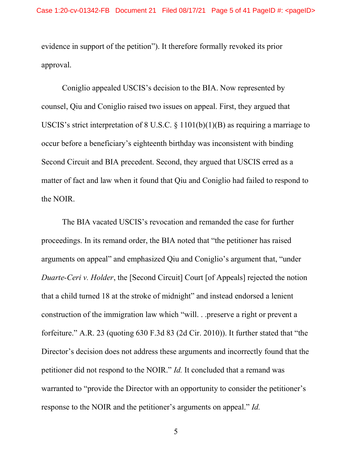evidence in support of the petition"). It therefore formally revoked its prior approval.

Coniglio appealed USCIS's decision to the BIA. Now represented by counsel, Qiu and Coniglio raised two issues on appeal. First, they argued that USCIS's strict interpretation of  $8$  U.S.C.  $\S$  1101(b)(1)(B) as requiring a marriage to occur before a beneficiary's eighteenth birthday was inconsistent with binding Second Circuit and BIA precedent. Second, they argued that USCIS erred as a matter of fact and law when it found that Qiu and Coniglio had failed to respond to the NOIR.

The BIA vacated USCIS's revocation and remanded the case for further proceedings. In its remand order, the BIA noted that "the petitioner has raised arguments on appeal" and emphasized Qiu and Coniglio's argument that, "under Duarte-Ceri v. Holder, the [Second Circuit] Court [of Appeals] rejected the notion that a child turned 18 at the stroke of midnight" and instead endorsed a lenient construction of the immigration law which "will. . .preserve a right or prevent a forfeiture." A.R. 23 (quoting 630 F.3d 83 (2d Cir. 2010)). It further stated that "the Director's decision does not address these arguments and incorrectly found that the petitioner did not respond to the NOIR." Id. It concluded that a remand was warranted to "provide the Director with an opportunity to consider the petitioner's response to the NOIR and the petitioner's arguments on appeal." Id.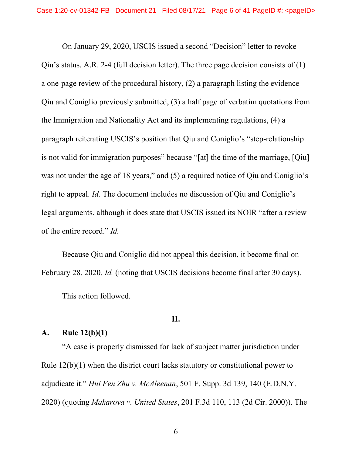On January 29, 2020, USCIS issued a second "Decision" letter to revoke Qiu's status. A.R. 2-4 (full decision letter). The three page decision consists of  $(1)$ a one-page review of the procedural history, (2) a paragraph listing the evidence Qiu and Coniglio previously submitted, (3) a half page of verbatim quotations from the Immigration and Nationality Act and its implementing regulations, (4) a paragraph reiterating USCIS's position that Qiu and Coniglio's "step-relationship is not valid for immigration purposes" because "[at] the time of the marriage, [Qiu] was not under the age of 18 years," and (5) a required notice of Qiu and Coniglio's right to appeal. Id. The document includes no discussion of Qiu and Coniglio's legal arguments, although it does state that USCIS issued its NOIR "after a review of the entire record." Id.

Because Qiu and Coniglio did not appeal this decision, it become final on February 28, 2020. Id. (noting that USCIS decisions become final after 30 days).

This action followed.

## II.

#### A. Rule 12(b)(1)

"A case is properly dismissed for lack of subject matter jurisdiction under Rule 12(b)(1) when the district court lacks statutory or constitutional power to adjudicate it." Hui Fen Zhu v. McAleenan, 501 F. Supp. 3d 139, 140 (E.D.N.Y. 2020) (quoting Makarova v. United States, 201 F.3d 110, 113 (2d Cir. 2000)). The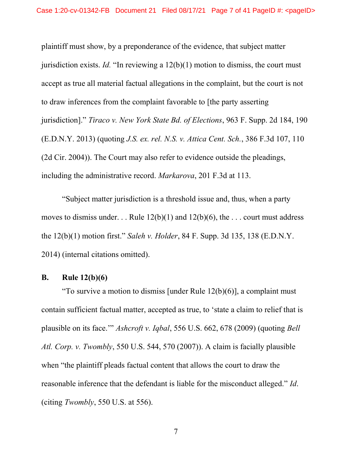plaintiff must show, by a preponderance of the evidence, that subject matter jurisdiction exists. Id. "In reviewing a  $12(b)(1)$  motion to dismiss, the court must accept as true all material factual allegations in the complaint, but the court is not to draw inferences from the complaint favorable to [the party asserting jurisdiction]." Tiraco v. New York State Bd. of Elections, 963 F. Supp. 2d 184, 190 (E.D.N.Y. 2013) (quoting J.S. ex. rel. N.S. v. Attica Cent. Sch., 386 F.3d 107, 110 (2d Cir. 2004)). The Court may also refer to evidence outside the pleadings, including the administrative record. Markarova, 201 F.3d at 113.

 "Subject matter jurisdiction is a threshold issue and, thus, when a party moves to dismiss under... Rule  $12(b)(1)$  and  $12(b)(6)$ , the ... court must address the 12(b)(1) motion first." Saleh v. Holder, 84 F. Supp. 3d 135, 138 (E.D.N.Y. 2014) (internal citations omitted).

#### B. Rule 12(b)(6)

"To survive a motion to dismiss [under Rule  $12(b)(6)$ ], a complaint must contain sufficient factual matter, accepted as true, to 'state a claim to relief that is plausible on its face.'" Ashcroft v. Iqbal, 556 U.S. 662, 678 (2009) (quoting Bell Atl. Corp. v. Twombly, 550 U.S. 544, 570 (2007)). A claim is facially plausible when "the plaintiff pleads factual content that allows the court to draw the reasonable inference that the defendant is liable for the misconduct alleged." Id. (citing Twombly, 550 U.S. at 556).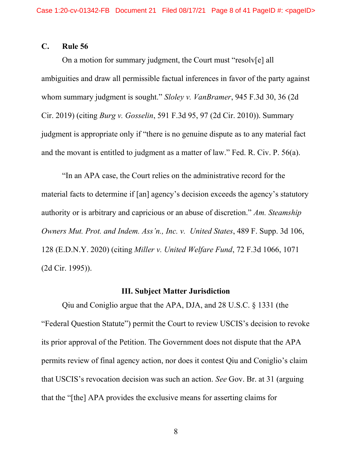#### C. Rule 56

On a motion for summary judgment, the Court must "resolv[e] all ambiguities and draw all permissible factual inferences in favor of the party against whom summary judgment is sought." Sloley v. VanBramer, 945 F.3d 30, 36 (2d) Cir. 2019) (citing Burg v. Gosselin, 591 F.3d 95, 97 (2d Cir. 2010)). Summary judgment is appropriate only if "there is no genuine dispute as to any material fact and the movant is entitled to judgment as a matter of law." Fed. R. Civ. P. 56(a).

"In an APA case, the Court relies on the administrative record for the material facts to determine if [an] agency's decision exceeds the agency's statutory authority or is arbitrary and capricious or an abuse of discretion." Am. Steamship Owners Mut. Prot. and Indem. Ass'n., Inc. v. United States, 489 F. Supp. 3d 106, 128 (E.D.N.Y. 2020) (citing Miller v. United Welfare Fund, 72 F.3d 1066, 1071 (2d Cir. 1995)).

#### III. Subject Matter Jurisdiction

 Qiu and Coniglio argue that the APA, DJA, and 28 U.S.C. § 1331 (the "Federal Question Statute") permit the Court to review USCIS's decision to revoke its prior approval of the Petition. The Government does not dispute that the APA permits review of final agency action, nor does it contest Qiu and Coniglio's claim that USCIS's revocation decision was such an action. See Gov. Br. at 31 (arguing that the "[the] APA provides the exclusive means for asserting claims for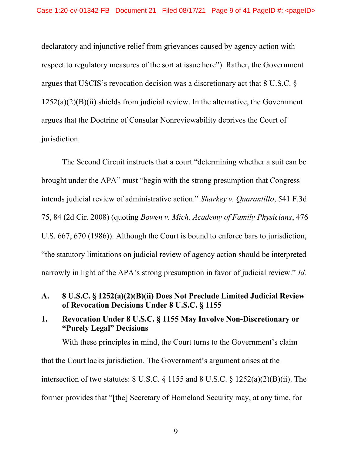declaratory and injunctive relief from grievances caused by agency action with respect to regulatory measures of the sort at issue here"). Rather, the Government argues that USCIS's revocation decision was a discretionary act that 8 U.S.C. §  $1252(a)(2)(B)(ii)$  shields from judicial review. In the alternative, the Government argues that the Doctrine of Consular Nonreviewability deprives the Court of jurisdiction.

 The Second Circuit instructs that a court "determining whether a suit can be brought under the APA" must "begin with the strong presumption that Congress intends judicial review of administrative action." Sharkey v. Quarantillo, 541 F.3d 75, 84 (2d Cir. 2008) (quoting Bowen v. Mich. Academy of Family Physicians, 476 U.S. 667, 670 (1986)). Although the Court is bound to enforce bars to jurisdiction, "the statutory limitations on judicial review of agency action should be interpreted narrowly in light of the APA's strong presumption in favor of judicial review." *Id.* 

## A. 8 U.S.C. § 1252(a)(2)(B)(ii) Does Not Preclude Limited Judicial Review of Revocation Decisions Under 8 U.S.C. § 1155

# 1. Revocation Under 8 U.S.C. § 1155 May Involve Non-Discretionary or "Purely Legal" Decisions

With these principles in mind, the Court turns to the Government's claim that the Court lacks jurisdiction. The Government's argument arises at the intersection of two statutes: 8 U.S.C. § 1155 and 8 U.S.C. § 1252(a)(2)(B)(ii). The former provides that "[the] Secretary of Homeland Security may, at any time, for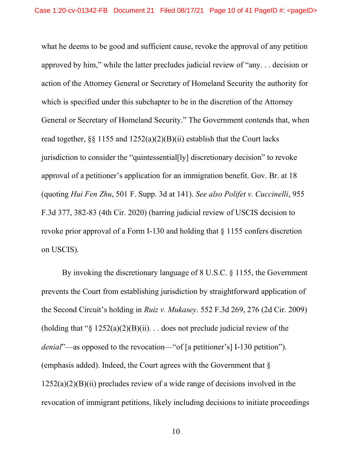what he deems to be good and sufficient cause, revoke the approval of any petition approved by him," while the latter precludes judicial review of "any. . . decision or action of the Attorney General or Secretary of Homeland Security the authority for which is specified under this subchapter to be in the discretion of the Attorney General or Secretary of Homeland Security." The Government contends that, when read together,  $\S$  1155 and  $1252(a)(2)(B)(ii)$  establish that the Court lacks jurisdiction to consider the "quintessential[ly] discretionary decision" to revoke approval of a petitioner's application for an immigration benefit. Gov. Br. at 18 (quoting Hui Fen Zhu, 501 F. Supp. 3d at 141). See also Polifet v. Cuccinelli, 955 F.3d 377, 382-83 (4th Cir. 2020) (barring judicial review of USCIS decision to revoke prior approval of a Form I-130 and holding that § 1155 confers discretion on USCIS).

By invoking the discretionary language of 8 U.S.C. § 1155, the Government prevents the Court from establishing jurisdiction by straightforward application of the Second Circuit's holding in Ruiz v. Mukasey. 552 F.3d 269, 276 (2d Cir. 2009) (holding that " $\S 1252(a)(2)(B)(ii)$ ... does not preclude judicial review of the denial"—as opposed to the revocation—"of [a petitioner's] I-130 petition"). (emphasis added). Indeed, the Court agrees with the Government that  $\delta$  $1252(a)(2)(B)(ii)$  precludes review of a wide range of decisions involved in the revocation of immigrant petitions, likely including decisions to initiate proceedings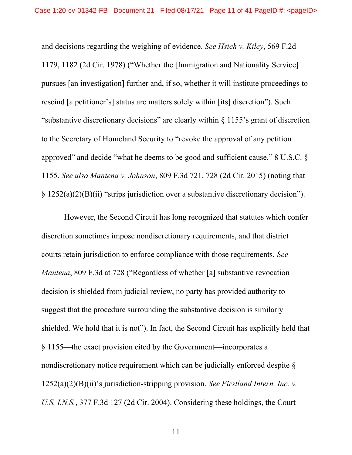and decisions regarding the weighing of evidence. See Hsieh v. Kiley, 569 F.2d 1179, 1182 (2d Cir. 1978) ("Whether the [Immigration and Nationality Service] pursues [an investigation] further and, if so, whether it will institute proceedings to rescind [a petitioner's] status are matters solely within [its] discretion"). Such "substantive discretionary decisions" are clearly within § 1155's grant of discretion to the Secretary of Homeland Security to "revoke the approval of any petition approved" and decide "what he deems to be good and sufficient cause." 8 U.S.C. § 1155. See also Mantena v. Johnson, 809 F.3d 721, 728 (2d Cir. 2015) (noting that § 1252(a)(2)(B)(ii) "strips jurisdiction over a substantive discretionary decision").

 However, the Second Circuit has long recognized that statutes which confer discretion sometimes impose nondiscretionary requirements, and that district courts retain jurisdiction to enforce compliance with those requirements. See Mantena, 809 F.3d at 728 ("Regardless of whether [a] substantive revocation decision is shielded from judicial review, no party has provided authority to suggest that the procedure surrounding the substantive decision is similarly shielded. We hold that it is not"). In fact, the Second Circuit has explicitly held that § 1155—the exact provision cited by the Government—incorporates a nondiscretionary notice requirement which can be judicially enforced despite §  $1252(a)(2)(B)(ii)$ 's jurisdiction-stripping provision. See Firstland Intern. Inc. v. U.S. I.N.S., 377 F.3d 127 (2d Cir. 2004). Considering these holdings, the Court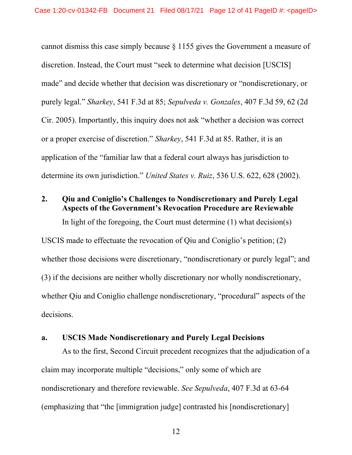cannot dismiss this case simply because § 1155 gives the Government a measure of discretion. Instead, the Court must "seek to determine what decision [USCIS] made" and decide whether that decision was discretionary or "nondiscretionary, or purely legal." Sharkey, 541 F.3d at 85; Sepulveda v. Gonzales, 407 F.3d 59, 62 (2d Cir. 2005). Importantly, this inquiry does not ask "whether a decision was correct or a proper exercise of discretion." Sharkey, 541 F.3d at 85. Rather, it is an application of the "familiar law that a federal court always has jurisdiction to determine its own jurisdiction." United States v. Ruiz, 536 U.S. 622, 628 (2002).

#### 2. Qiu and Coniglio's Challenges to Nondiscretionary and Purely Legal Aspects of the Government's Revocation Procedure are Reviewable

In light of the foregoing, the Court must determine  $(1)$  what decision(s)

USCIS made to effectuate the revocation of Qiu and Coniglio's petition; (2) whether those decisions were discretionary, "nondiscretionary or purely legal"; and (3) if the decisions are neither wholly discretionary nor wholly nondiscretionary, whether Qiu and Coniglio challenge nondiscretionary, "procedural" aspects of the decisions.

#### a. USCIS Made Nondiscretionary and Purely Legal Decisions

As to the first, Second Circuit precedent recognizes that the adjudication of a claim may incorporate multiple "decisions," only some of which are nondiscretionary and therefore reviewable. See Sepulveda, 407 F.3d at 63-64 (emphasizing that "the [immigration judge] contrasted his [nondiscretionary]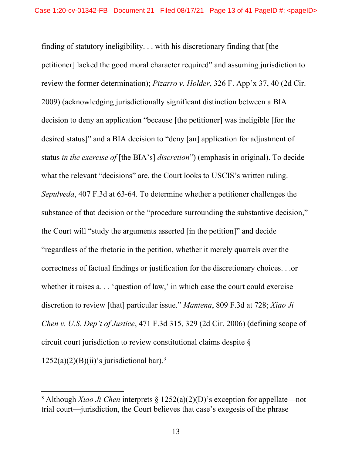finding of statutory ineligibility. . . with his discretionary finding that [the petitioner] lacked the good moral character required" and assuming jurisdiction to review the former determination); *Pizarro v. Holder*, 326 F. App'x 37, 40 (2d Cir. 2009) (acknowledging jurisdictionally significant distinction between a BIA decision to deny an application "because [the petitioner] was ineligible [for the desired status]" and a BIA decision to "deny [an] application for adjustment of status in the exercise of [the BIA's] discretion") (emphasis in original). To decide what the relevant "decisions" are, the Court looks to USCIS's written ruling. Sepulveda, 407 F.3d at 63-64. To determine whether a petitioner challenges the substance of that decision or the "procedure surrounding the substantive decision," the Court will "study the arguments asserted [in the petition]" and decide "regardless of the rhetoric in the petition, whether it merely quarrels over the correctness of factual findings or justification for the discretionary choices. . .or whether it raises a... 'question of law,' in which case the court could exercise discretion to review [that] particular issue." Mantena, 809 F.3d at 728; Xiao Ji Chen v. U.S. Dep't of Justice, 471 F.3d 315, 329 (2d Cir. 2006) (defining scope of circuit court jurisdiction to review constitutional claims despite §  $1252(a)(2)(B)(ii)$ 's jurisdictional bar).<sup>3</sup>

<sup>&</sup>lt;sup>3</sup> Although *Xiao Ji Chen* interprets  $\S$  1252(a)(2)(D)'s exception for appellate—not trial court—jurisdiction, the Court believes that case's exegesis of the phrase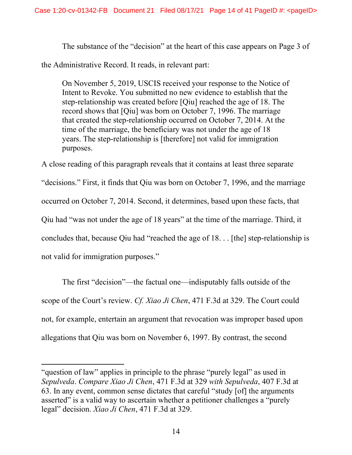The substance of the "decision" at the heart of this case appears on Page 3 of

the Administrative Record. It reads, in relevant part:

On November 5, 2019, USCIS received your response to the Notice of Intent to Revoke. You submitted no new evidence to establish that the step-relationship was created before [Qiu] reached the age of 18. The record shows that [Qiu] was born on October 7, 1996. The marriage that created the step-relationship occurred on October 7, 2014. At the time of the marriage, the beneficiary was not under the age of 18 years. The step-relationship is [therefore] not valid for immigration purposes.

A close reading of this paragraph reveals that it contains at least three separate "decisions." First, it finds that Qiu was born on October 7, 1996, and the marriage occurred on October 7, 2014. Second, it determines, based upon these facts, that Qiu had "was not under the age of 18 years" at the time of the marriage. Third, it concludes that, because Qiu had "reached the age of 18. . . [the] step-relationship is not valid for immigration purposes."

The first "decision"—the factual one—indisputably falls outside of the scope of the Court's review. Cf. Xiao Ji Chen, 471 F.3d at 329. The Court could not, for example, entertain an argument that revocation was improper based upon allegations that Qiu was born on November 6, 1997. By contrast, the second

<sup>&</sup>quot;question of law" applies in principle to the phrase "purely legal" as used in Sepulveda. Compare Xiao Ji Chen, 471 F.3d at 329 with Sepulveda, 407 F.3d at 63. In any event, common sense dictates that careful "study [of] the arguments asserted" is a valid way to ascertain whether a petitioner challenges a "purely legal" decision. *Xiao Ji Chen*, 471 F.3d at 329.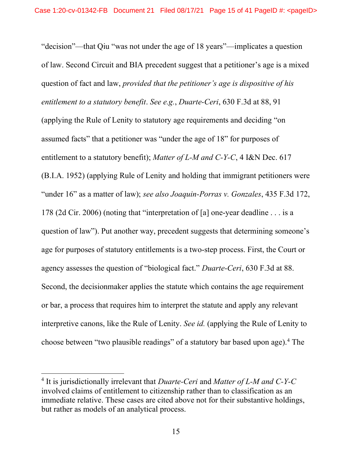"decision"—that Qiu "was not under the age of 18 years"—implicates a question of law. Second Circuit and BIA precedent suggest that a petitioner's age is a mixed question of fact and law, provided that the petitioner's age is dispositive of his entitlement to a statutory benefit. See e.g., Duarte-Ceri, 630 F.3d at 88, 91 (applying the Rule of Lenity to statutory age requirements and deciding "on assumed facts" that a petitioner was "under the age of 18" for purposes of entitlement to a statutory benefit); Matter of L-M and C-Y-C, 4 I&N Dec. 617 (B.I.A. 1952) (applying Rule of Lenity and holding that immigrant petitioners were "under 16" as a matter of law); see also Joaquin-Porras v. Gonzales, 435 F.3d 172, 178 (2d Cir. 2006) (noting that "interpretation of [a] one-year deadline . . . is a question of law"). Put another way, precedent suggests that determining someone's age for purposes of statutory entitlements is a two-step process. First, the Court or agency assesses the question of "biological fact." Duarte-Ceri, 630 F.3d at 88. Second, the decisionmaker applies the statute which contains the age requirement or bar, a process that requires him to interpret the statute and apply any relevant interpretive canons, like the Rule of Lenity. See id. (applying the Rule of Lenity to choose between "two plausible readings" of a statutory bar based upon age).<sup>4</sup> The

 $4$  It is jurisdictionally irrelevant that *Duarte-Ceri* and *Matter of L-M and C-Y-C* involved claims of entitlement to citizenship rather than to classification as an immediate relative. These cases are cited above not for their substantive holdings, but rather as models of an analytical process.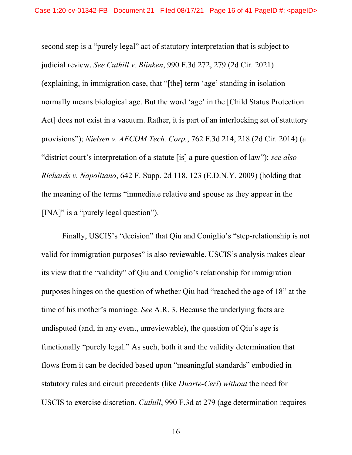second step is a "purely legal" act of statutory interpretation that is subject to judicial review. See Cuthill v. Blinken, 990 F.3d 272, 279 (2d Cir. 2021) (explaining, in immigration case, that "[the] term 'age' standing in isolation normally means biological age. But the word 'age' in the [Child Status Protection Act] does not exist in a vacuum. Rather, it is part of an interlocking set of statutory provisions"); Nielsen v. AECOM Tech. Corp., 762 F.3d 214, 218 (2d Cir. 2014) (a "district court's interpretation of a statute [is] a pure question of law"); see also Richards v. Napolitano, 642 F. Supp. 2d 118, 123 (E.D.N.Y. 2009) (holding that the meaning of the terms "immediate relative and spouse as they appear in the [INA]" is a "purely legal question").

Finally, USCIS's "decision" that Qiu and Coniglio's "step-relationship is not valid for immigration purposes" is also reviewable. USCIS's analysis makes clear its view that the "validity" of Qiu and Coniglio's relationship for immigration purposes hinges on the question of whether Qiu had "reached the age of 18" at the time of his mother's marriage. See A.R. 3. Because the underlying facts are undisputed (and, in any event, unreviewable), the question of Qiu's age is functionally "purely legal." As such, both it and the validity determination that flows from it can be decided based upon "meaningful standards" embodied in statutory rules and circuit precedents (like Duarte-Ceri) without the need for USCIS to exercise discretion. Cuthill, 990 F.3d at 279 (age determination requires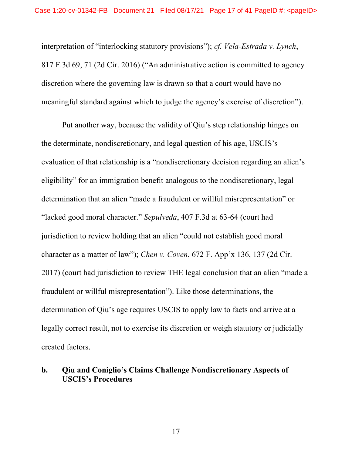interpretation of "interlocking statutory provisions"); cf. Vela-Estrada v. Lynch, 817 F.3d 69, 71 (2d Cir. 2016) ("An administrative action is committed to agency discretion where the governing law is drawn so that a court would have no meaningful standard against which to judge the agency's exercise of discretion").

Put another way, because the validity of Qiu's step relationship hinges on the determinate, nondiscretionary, and legal question of his age, USCIS's evaluation of that relationship is a "nondiscretionary decision regarding an alien's eligibility" for an immigration benefit analogous to the nondiscretionary, legal determination that an alien "made a fraudulent or willful misrepresentation" or "lacked good moral character." Sepulveda, 407 F.3d at 63-64 (court had jurisdiction to review holding that an alien "could not establish good moral character as a matter of law"); Chen v. Coven, 672 F. App'x 136, 137 (2d Cir. 2017) (court had jurisdiction to review THE legal conclusion that an alien "made a fraudulent or willful misrepresentation"). Like those determinations, the determination of Qiu's age requires USCIS to apply law to facts and arrive at a legally correct result, not to exercise its discretion or weigh statutory or judicially created factors.

## b. Qiu and Coniglio's Claims Challenge Nondiscretionary Aspects of USCIS's Procedures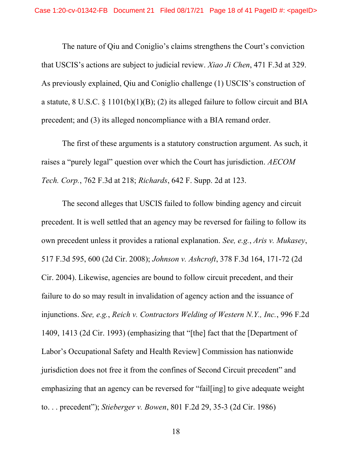The nature of Qiu and Coniglio's claims strengthens the Court's conviction that USCIS's actions are subject to judicial review. Xiao Ji Chen, 471 F.3d at 329. As previously explained, Qiu and Coniglio challenge (1) USCIS's construction of a statute,  $8 \text{ U.S.C. } 8 \text{ 1101(b)(1)(B)}$ ; (2) its alleged failure to follow circuit and BIA precedent; and (3) its alleged noncompliance with a BIA remand order.

 The first of these arguments is a statutory construction argument. As such, it raises a "purely legal" question over which the Court has jurisdiction. AECOM Tech. Corp., 762 F.3d at 218; Richards, 642 F. Supp. 2d at 123.

 The second alleges that USCIS failed to follow binding agency and circuit precedent. It is well settled that an agency may be reversed for failing to follow its own precedent unless it provides a rational explanation. See, e.g., Aris v. Mukasey, 517 F.3d 595, 600 (2d Cir. 2008); Johnson v. Ashcroft, 378 F.3d 164, 171-72 (2d Cir. 2004). Likewise, agencies are bound to follow circuit precedent, and their failure to do so may result in invalidation of agency action and the issuance of injunctions. See, e.g., Reich v. Contractors Welding of Western N.Y., Inc., 996 F.2d 1409, 1413 (2d Cir. 1993) (emphasizing that "[the] fact that the [Department of Labor's Occupational Safety and Health Review] Commission has nationwide jurisdiction does not free it from the confines of Second Circuit precedent" and emphasizing that an agency can be reversed for "fail[ing] to give adequate weight to. . . precedent"); Stieberger v. Bowen, 801 F.2d 29, 35-3 (2d Cir. 1986)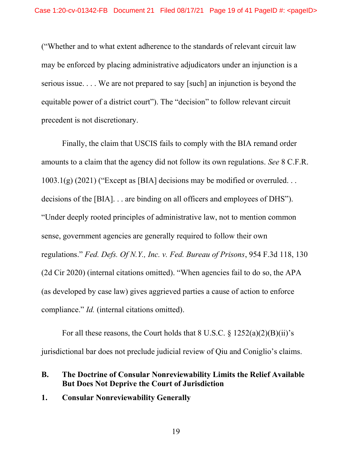("Whether and to what extent adherence to the standards of relevant circuit law may be enforced by placing administrative adjudicators under an injunction is a serious issue. . . . We are not prepared to say [such] an injunction is beyond the equitable power of a district court"). The "decision" to follow relevant circuit precedent is not discretionary.

 Finally, the claim that USCIS fails to comply with the BIA remand order amounts to a claim that the agency did not follow its own regulations. See 8 C.F.R.  $1003.1(g)$  (2021) ("Except as [BIA] decisions may be modified or overruled... decisions of the [BIA]. . . are binding on all officers and employees of DHS"). "Under deeply rooted principles of administrative law, not to mention common sense, government agencies are generally required to follow their own regulations." Fed. Defs. Of N.Y., Inc. v. Fed. Bureau of Prisons, 954 F.3d 118, 130 (2d Cir 2020) (internal citations omitted). "When agencies fail to do so, the APA (as developed by case law) gives aggrieved parties a cause of action to enforce compliance." Id. (internal citations omitted).

For all these reasons, the Court holds that  $8 \text{ U.S.C.} \$  $\frac{8 \text{ 1252(a)(2)(B)(ii)}^{\text{}}}{25 \text{ A}}$ jurisdictional bar does not preclude judicial review of Qiu and Coniglio's claims.

## B. The Doctrine of Consular Nonreviewability Limits the Relief Available But Does Not Deprive the Court of Jurisdiction

1. Consular Nonreviewability Generally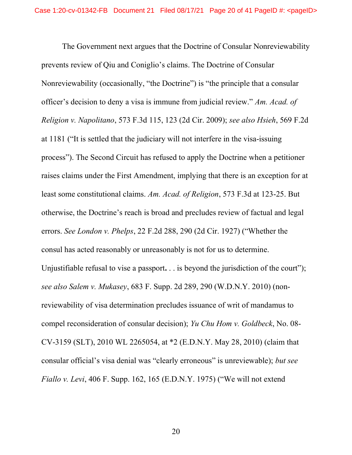The Government next argues that the Doctrine of Consular Nonreviewability prevents review of Qiu and Coniglio's claims. The Doctrine of Consular Nonreviewability (occasionally, "the Doctrine") is "the principle that a consular officer's decision to deny a visa is immune from judicial review." Am. Acad. of Religion v. Napolitano, 573 F.3d 115, 123 (2d Cir. 2009); see also Hsieh, 569 F.2d at 1181 ("It is settled that the judiciary will not interfere in the visa-issuing process"). The Second Circuit has refused to apply the Doctrine when a petitioner raises claims under the First Amendment, implying that there is an exception for at least some constitutional claims. Am. Acad. of Religion, 573 F.3d at 123-25. But otherwise, the Doctrine's reach is broad and precludes review of factual and legal errors. See London v. Phelps, 22 F.2d 288, 290 (2d Cir. 1927) ("Whether the consul has acted reasonably or unreasonably is not for us to determine. Unjustifiable refusal to vise a passport. . . is beyond the jurisdiction of the court"); see also Salem v. Mukasey, 683 F. Supp. 2d 289, 290 (W.D.N.Y. 2010) (nonreviewability of visa determination precludes issuance of writ of mandamus to compel reconsideration of consular decision); Yu Chu Hom v. Goldbeck, No. 08- CV-3159 (SLT), 2010 WL 2265054, at \*2 (E.D.N.Y. May 28, 2010) (claim that consular official's visa denial was "clearly erroneous" is unreviewable); but see Fiallo v. Levi, 406 F. Supp. 162, 165 (E.D.N.Y. 1975) ("We will not extend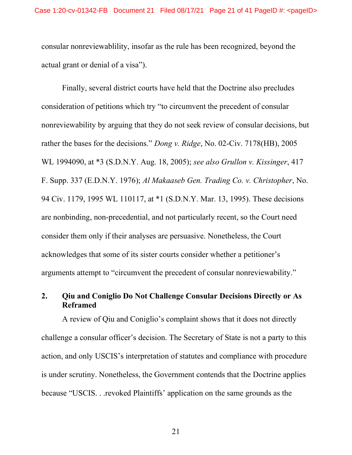consular nonreviewablility, insofar as the rule has been recognized, beyond the actual grant or denial of a visa").

Finally, several district courts have held that the Doctrine also precludes consideration of petitions which try "to circumvent the precedent of consular nonreviewability by arguing that they do not seek review of consular decisions, but rather the bases for the decisions." Dong v. Ridge, No. 02-Civ. 7178(HB), 2005 WL 1994090, at \*3 (S.D.N.Y. Aug. 18, 2005); see also Grullon v. Kissinger, 417 F. Supp. 337 (E.D.N.Y. 1976); Al Makaaseb Gen. Trading Co. v. Christopher, No. 94 Civ. 1179, 1995 WL 110117, at \*1 (S.D.N.Y. Mar. 13, 1995). These decisions are nonbinding, non-precedential, and not particularly recent, so the Court need consider them only if their analyses are persuasive. Nonetheless, the Court acknowledges that some of its sister courts consider whether a petitioner's arguments attempt to "circumvent the precedent of consular nonreviewability."

# 2. Qiu and Coniglio Do Not Challenge Consular Decisions Directly or As Reframed

A review of Qiu and Coniglio's complaint shows that it does not directly challenge a consular officer's decision. The Secretary of State is not a party to this action, and only USCIS's interpretation of statutes and compliance with procedure is under scrutiny. Nonetheless, the Government contends that the Doctrine applies because "USCIS. . .revoked Plaintiffs' application on the same grounds as the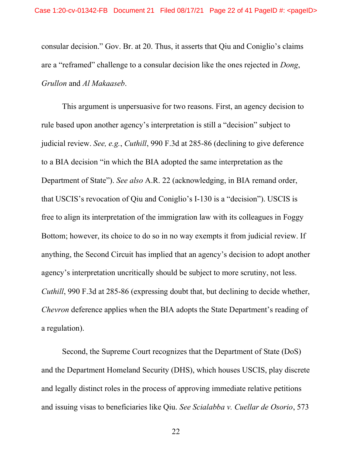consular decision." Gov. Br. at 20. Thus, it asserts that Qiu and Coniglio's claims are a "reframed" challenge to a consular decision like the ones rejected in Dong, Grullon and Al Makaaseb.

 This argument is unpersuasive for two reasons. First, an agency decision to rule based upon another agency's interpretation is still a "decision" subject to judicial review. See, e.g., Cuthill, 990 F.3d at 285-86 (declining to give deference to a BIA decision "in which the BIA adopted the same interpretation as the Department of State"). See also A.R. 22 (acknowledging, in BIA remand order, that USCIS's revocation of Qiu and Coniglio's I-130 is a "decision"). USCIS is free to align its interpretation of the immigration law with its colleagues in Foggy Bottom; however, its choice to do so in no way exempts it from judicial review. If anything, the Second Circuit has implied that an agency's decision to adopt another agency's interpretation uncritically should be subject to more scrutiny, not less. Cuthill, 990 F.3d at 285-86 (expressing doubt that, but declining to decide whether, Chevron deference applies when the BIA adopts the State Department's reading of a regulation).

 Second, the Supreme Court recognizes that the Department of State (DoS) and the Department Homeland Security (DHS), which houses USCIS, play discrete and legally distinct roles in the process of approving immediate relative petitions and issuing visas to beneficiaries like Qiu. See Scialabba v. Cuellar de Osorio, 573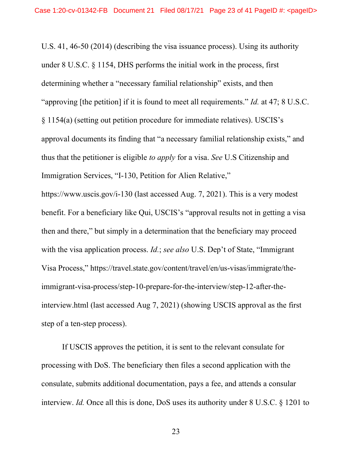U.S. 41, 46-50 (2014) (describing the visa issuance process). Using its authority under 8 U.S.C. § 1154, DHS performs the initial work in the process, first determining whether a "necessary familial relationship" exists, and then "approving [the petition] if it is found to meet all requirements." *Id.* at 47; 8 U.S.C. § 1154(a) (setting out petition procedure for immediate relatives). USCIS's approval documents its finding that "a necessary familial relationship exists," and thus that the petitioner is eligible to apply for a visa. See U.S Citizenship and Immigration Services, "I-130, Petition for Alien Relative,"

https://www.uscis.gov/i-130 (last accessed Aug. 7, 2021). This is a very modest benefit. For a beneficiary like Qui, USCIS's "approval results not in getting a visa then and there," but simply in a determination that the beneficiary may proceed with the visa application process. *Id.*; see also U.S. Dep't of State, "Immigrant" Visa Process," https://travel.state.gov/content/travel/en/us-visas/immigrate/theimmigrant-visa-process/step-10-prepare-for-the-interview/step-12-after-theinterview.html (last accessed Aug 7, 2021) (showing USCIS approval as the first step of a ten-step process).

If USCIS approves the petition, it is sent to the relevant consulate for processing with DoS. The beneficiary then files a second application with the consulate, submits additional documentation, pays a fee, and attends a consular interview. Id. Once all this is done, DoS uses its authority under 8 U.S.C. § 1201 to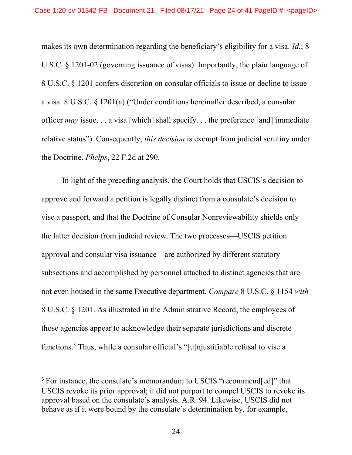makes its own determination regarding the beneficiary's eligibility for a visa. Id.; 8 U.S.C. § 1201-02 (governing issuance of visas). Importantly, the plain language of 8 U.S.C. § 1201 confers discretion on consular officials to issue or decline to issue a visa. 8 U.S.C. § 1201(a) ("Under conditions hereinafter described, a consular officer  $may$  issue... a visa [which] shall specify... the preference [and] immediate relative status"). Consequently, *this decision* is exempt from judicial scrutiny under the Doctrine. Phelps, 22 F.2d at 290.

In light of the preceding analysis, the Court holds that USCIS's decision to approve and forward a petition is legally distinct from a consulate's decision to vise a passport, and that the Doctrine of Consular Nonreviewability shields only the latter decision from judicial review. The two processes—USCIS petition approval and consular visa issuance—are authorized by different statutory subsections and accomplished by personnel attached to distinct agencies that are not even housed in the same Executive department. Compare 8 U.S.C. § 1154 with 8 U.S.C. § 1201. As illustrated in the Administrative Record, the employees of those agencies appear to acknowledge their separate jurisdictions and discrete functions.<sup>5</sup> Thus, while a consular official's "[u]njustifiable refusal to vise a

<sup>&</sup>lt;sup>5</sup> For instance, the consulate's memorandum to USCIS "recommend[ed]" that USCIS revoke its prior approval; it did not purport to compel USCIS to revoke its approval based on the consulate's analysis. A.R. 94. Likewise, USCIS did not behave as if it were bound by the consulate's determination by, for example,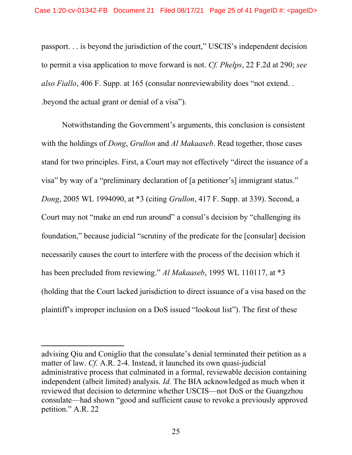passport. . . is beyond the jurisdiction of the court," USCIS's independent decision to permit a visa application to move forward is not. Cf. Phelps, 22 F.2d at 290; see also Fiallo, 406 F. Supp. at 165 (consular nonreviewability does "not extend... .beyond the actual grant or denial of a visa").

Notwithstanding the Government's arguments, this conclusion is consistent with the holdings of *Dong*, *Grullon* and *Al Makaaseb*. Read together, those cases stand for two principles. First, a Court may not effectively "direct the issuance of a visa" by way of a "preliminary declaration of [a petitioner's] immigrant status." Dong, 2005 WL 1994090, at \*3 (citing Grullon, 417 F. Supp. at 339). Second, a Court may not "make an end run around" a consul's decision by "challenging its foundation," because judicial "scrutiny of the predicate for the [consular] decision necessarily causes the court to interfere with the process of the decision which it has been precluded from reviewing." Al Makaaseb, 1995 WL 110117, at \*3 (holding that the Court lacked jurisdiction to direct issuance of a visa based on the plaintiff's improper inclusion on a DoS issued "lookout list"). The first of these

advising Qiu and Coniglio that the consulate's denial terminated their petition as a matter of law. Cf. A.R. 2-4. Instead, it launched its own quasi-judicial administrative process that culminated in a formal, reviewable decision containing independent (albeit limited) analysis. Id. The BIA acknowledged as much when it reviewed that decision to determine whether USCIS—not DoS or the Guangzhou consulate—had shown "good and sufficient cause to revoke a previously approved petition." A.R. 22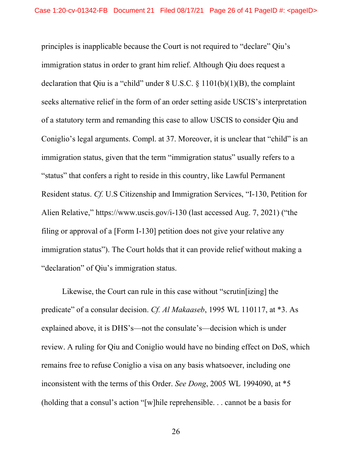principles is inapplicable because the Court is not required to "declare" Qiu's immigration status in order to grant him relief. Although Qiu does request a declaration that Qiu is a "child" under  $8 \text{ U.S.C. } \frac{81101(b)(1)(B)}{B}$ , the complaint seeks alternative relief in the form of an order setting aside USCIS's interpretation of a statutory term and remanding this case to allow USCIS to consider Qiu and Coniglio's legal arguments. Compl. at 37. Moreover, it is unclear that "child" is an immigration status, given that the term "immigration status" usually refers to a "status" that confers a right to reside in this country, like Lawful Permanent Resident status. Cf. U.S Citizenship and Immigration Services, "I-130, Petition for Alien Relative," https://www.uscis.gov/i-130 (last accessed Aug. 7, 2021) ("the filing or approval of a [Form I-130] petition does not give your relative any immigration status"). The Court holds that it can provide relief without making a "declaration" of Qiu's immigration status.

Likewise, the Court can rule in this case without "scrutin[izing] the predicate" of a consular decision. Cf. Al Makaaseb, 1995 WL 110117, at \*3. As explained above, it is DHS's—not the consulate's—decision which is under review. A ruling for Qiu and Coniglio would have no binding effect on DoS, which remains free to refuse Coniglio a visa on any basis whatsoever, including one inconsistent with the terms of this Order. See Dong, 2005 WL 1994090, at \*5 (holding that a consul's action "[w]hile reprehensible. . . cannot be a basis for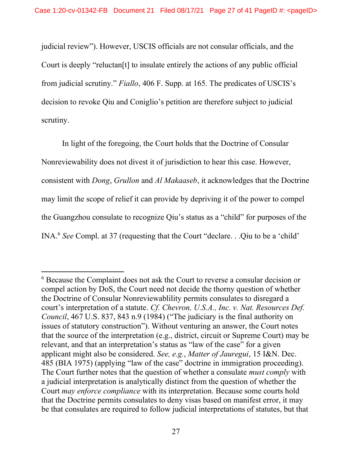judicial review"). However, USCIS officials are not consular officials, and the Court is deeply "reluctan[t] to insulate entirely the actions of any public official from judicial scrutiny." Fiallo, 406 F. Supp. at 165. The predicates of USCIS's decision to revoke Qiu and Coniglio's petition are therefore subject to judicial scrutiny.

In light of the foregoing, the Court holds that the Doctrine of Consular Nonreviewability does not divest it of jurisdiction to hear this case. However, consistent with Dong, Grullon and Al Makaaseb, it acknowledges that the Doctrine may limit the scope of relief it can provide by depriving it of the power to compel the Guangzhou consulate to recognize Qiu's status as a "child" for purposes of the INA.<sup>6</sup> See Compl. at 37 (requesting that the Court "declare. . .Qiu to be a 'child'

<sup>&</sup>lt;sup>6</sup> Because the Complaint does not ask the Court to reverse a consular decision or compel action by DoS, the Court need not decide the thorny question of whether the Doctrine of Consular Nonreviewablility permits consulates to disregard a court's interpretation of a statute. Cf. Chevron, U.S.A., Inc. v. Nat. Resources Def. Council, 467 U.S. 837, 843 n.9 (1984) ("The judiciary is the final authority on issues of statutory construction"). Without venturing an answer, the Court notes that the source of the interpretation (e.g., district, circuit or Supreme Court) may be relevant, and that an interpretation's status as "law of the case" for a given applicant might also be considered. See, e.g., Matter of Jauregui, 15 I&N. Dec. 485 (BIA 1975) (applying "law of the case" doctrine in immigration proceeding). The Court further notes that the question of whether a consulate *must comply* with a judicial interpretation is analytically distinct from the question of whether the Court may enforce compliance with its interpretation. Because some courts hold that the Doctrine permits consulates to deny visas based on manifest error, it may be that consulates are required to follow judicial interpretations of statutes, but that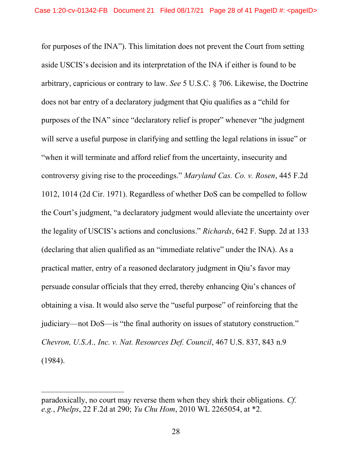for purposes of the INA"). This limitation does not prevent the Court from setting aside USCIS's decision and its interpretation of the INA if either is found to be arbitrary, capricious or contrary to law. See 5 U.S.C. § 706. Likewise, the Doctrine does not bar entry of a declaratory judgment that Qiu qualifies as a "child for purposes of the INA" since "declaratory relief is proper" whenever "the judgment will serve a useful purpose in clarifying and settling the legal relations in issue" or "when it will terminate and afford relief from the uncertainty, insecurity and controversy giving rise to the proceedings." Maryland Cas. Co. v. Rosen, 445 F.2d 1012, 1014 (2d Cir. 1971). Regardless of whether DoS can be compelled to follow the Court's judgment, "a declaratory judgment would alleviate the uncertainty over the legality of USCIS's actions and conclusions." Richards, 642 F. Supp. 2d at 133 (declaring that alien qualified as an "immediate relative" under the INA). As a practical matter, entry of a reasoned declaratory judgment in Qiu's favor may persuade consular officials that they erred, thereby enhancing Qiu's chances of obtaining a visa. It would also serve the "useful purpose" of reinforcing that the judiciary—not DoS—is "the final authority on issues of statutory construction." Chevron, U.S.A., Inc. v. Nat. Resources Def. Council, 467 U.S. 837, 843 n.9 (1984).

paradoxically, no court may reverse them when they shirk their obligations. Cf. e.g., Phelps, 22 F.2d at 290; Yu Chu Hom, 2010 WL 2265054, at \*2.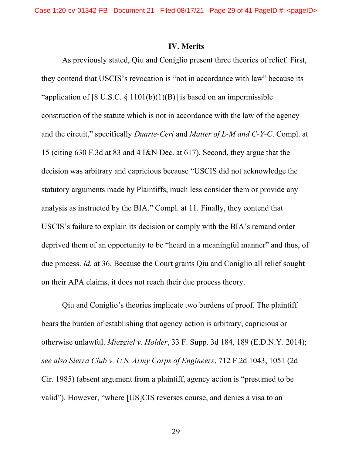#### IV. Merits

As previously stated, Qiu and Coniglio present three theories of relief. First, they contend that USCIS's revocation is "not in accordance with law" because its "application of [8 U.S.C.  $\S$  1101(b)(1)(B)] is based on an impermissible construction of the statute which is not in accordance with the law of the agency and the circuit," specifically Duarte-Ceri and Matter of L-M and C-Y-C. Compl. at 15 (citing 630 F.3d at 83 and 4 I&N Dec. at 617). Second, they argue that the decision was arbitrary and capricious because "USCIS did not acknowledge the statutory arguments made by Plaintiffs, much less consider them or provide any analysis as instructed by the BIA." Compl. at 11. Finally, they contend that USCIS's failure to explain its decision or comply with the BIA's remand order deprived them of an opportunity to be "heard in a meaningful manner" and thus, of due process. Id. at 36. Because the Court grants Qiu and Coniglio all relief sought on their APA claims, it does not reach their due process theory.

Qiu and Coniglio's theories implicate two burdens of proof. The plaintiff bears the burden of establishing that agency action is arbitrary, capricious or otherwise unlawful. Miezgiel v. Holder, 33 F. Supp. 3d 184, 189 (E.D.N.Y. 2014); see also Sierra Club v. U.S. Army Corps of Engineers, 712 F.2d 1043, 1051 (2d Cir. 1985) (absent argument from a plaintiff, agency action is "presumed to be valid"). However, "where [US]CIS reverses course, and denies a visa to an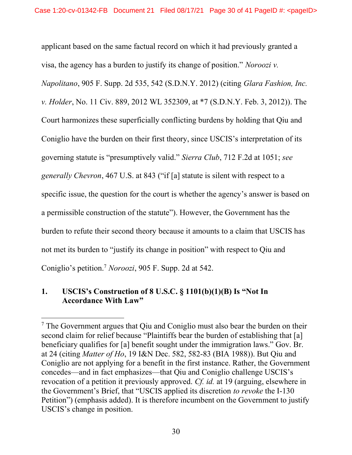applicant based on the same factual record on which it had previously granted a visa, the agency has a burden to justify its change of position." Noroozi v. Napolitano, 905 F. Supp. 2d 535, 542 (S.D.N.Y. 2012) (citing Glara Fashion, Inc. v. Holder, No. 11 Civ. 889, 2012 WL 352309, at \*7 (S.D.N.Y. Feb. 3, 2012)). The Court harmonizes these superficially conflicting burdens by holding that Qiu and Coniglio have the burden on their first theory, since USCIS's interpretation of its governing statute is "presumptively valid." Sierra Club, 712 F.2d at 1051; see generally Chevron, 467 U.S. at 843 ("if [a] statute is silent with respect to a specific issue, the question for the court is whether the agency's answer is based on a permissible construction of the statute"). However, the Government has the burden to refute their second theory because it amounts to a claim that USCIS has not met its burden to "justify its change in position" with respect to Qiu and Coniglio's petition.<sup>7</sup> Noroozi, 905 F. Supp. 2d at 542.

# 1. USCIS's Construction of 8 U.S.C. § 1101(b)(1)(B) Is "Not In Accordance With Law"

<sup>&</sup>lt;sup>7</sup> The Government argues that Qiu and Coniglio must also bear the burden on their second claim for relief because "Plaintiffs bear the burden of establishing that [a] beneficiary qualifies for [a] benefit sought under the immigration laws." Gov. Br. at 24 (citing Matter of Ho, 19 I&N Dec. 582, 582-83 (BIA 1988)). But Qiu and Coniglio are not applying for a benefit in the first instance. Rather, the Government concedes—and in fact emphasizes—that Qiu and Coniglio challenge USCIS's revocation of a petition it previously approved. Cf. id. at 19 (arguing, elsewhere in the Government's Brief, that "USCIS applied its discretion to revoke the I-130 Petition") (emphasis added). It is therefore incumbent on the Government to justify USCIS's change in position.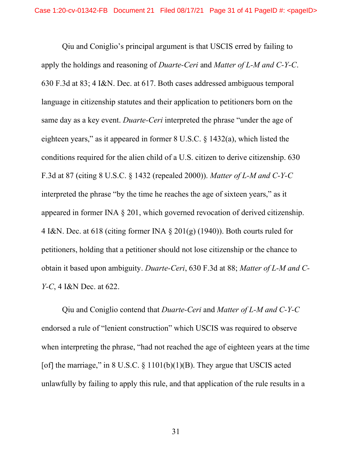Qiu and Coniglio's principal argument is that USCIS erred by failing to apply the holdings and reasoning of Duarte-Ceri and Matter of L-M and C-Y-C. 630 F.3d at 83; 4 I&N. Dec. at 617. Both cases addressed ambiguous temporal language in citizenship statutes and their application to petitioners born on the same day as a key event. *Duarte-Ceri* interpreted the phrase "under the age of eighteen years," as it appeared in former 8 U.S.C. § 1432(a), which listed the conditions required for the alien child of a U.S. citizen to derive citizenship. 630 F.3d at 87 (citing 8 U.S.C. § 1432 (repealed 2000)). Matter of L-M and C-Y-C interpreted the phrase "by the time he reaches the age of sixteen years," as it appeared in former INA § 201, which governed revocation of derived citizenship. 4 I&N. Dec. at 618 (citing former INA  $\S 201(g)$  (1940)). Both courts ruled for petitioners, holding that a petitioner should not lose citizenship or the chance to obtain it based upon ambiguity. Duarte-Ceri, 630 F.3d at 88; Matter of L-M and C-Y-C, 4 I&N Dec. at 622.

Qiu and Coniglio contend that Duarte-Ceri and Matter of L-M and C-Y-C endorsed a rule of "lenient construction" which USCIS was required to observe when interpreting the phrase, "had not reached the age of eighteen years at the time [of] the marriage," in 8 U.S.C.  $\S$  1101(b)(1)(B). They argue that USCIS acted unlawfully by failing to apply this rule, and that application of the rule results in a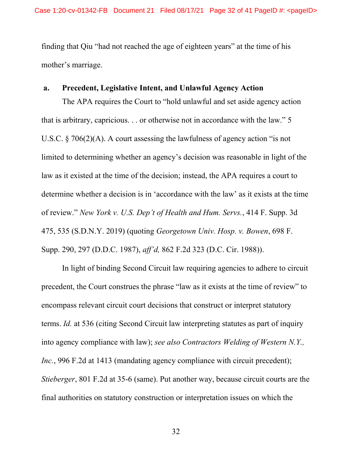finding that Qiu "had not reached the age of eighteen years" at the time of his mother's marriage.

#### a. Precedent, Legislative Intent, and Unlawful Agency Action

The APA requires the Court to "hold unlawful and set aside agency action that is arbitrary, capricious. . . or otherwise not in accordance with the law." 5 U.S.C. § 706(2)(A). A court assessing the lawfulness of agency action "is not limited to determining whether an agency's decision was reasonable in light of the law as it existed at the time of the decision; instead, the APA requires a court to determine whether a decision is in 'accordance with the law' as it exists at the time of review." New York v. U.S. Dep't of Health and Hum. Servs., 414 F. Supp. 3d 475, 535 (S.D.N.Y. 2019) (quoting Georgetown Univ. Hosp. v. Bowen, 698 F. Supp. 290, 297 (D.D.C. 1987), aff'd, 862 F.2d 323 (D.C. Cir. 1988)).

 In light of binding Second Circuit law requiring agencies to adhere to circuit precedent, the Court construes the phrase "law as it exists at the time of review" to encompass relevant circuit court decisions that construct or interpret statutory terms. Id. at 536 (citing Second Circuit law interpreting statutes as part of inquiry into agency compliance with law); see also Contractors Welding of Western N.Y., Inc., 996 F.2d at 1413 (mandating agency compliance with circuit precedent); Stieberger, 801 F.2d at 35-6 (same). Put another way, because circuit courts are the final authorities on statutory construction or interpretation issues on which the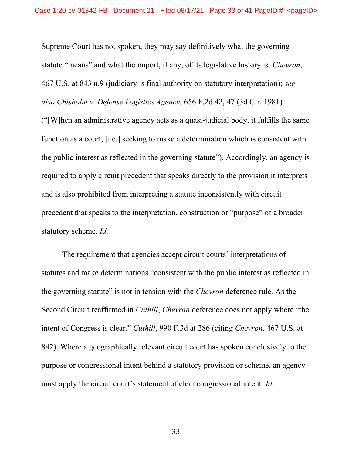Supreme Court has not spoken, they may say definitively what the governing statute "means" and what the import, if any, of its legislative history is. Chevron, 467 U.S. at 843 n.9 (judiciary is final authority on statutory interpretation); see also Chisholm v. Defense Logistics Agency, 656 F.2d 42, 47 (3d Cir. 1981) ("[W]hen an administrative agency acts as a quasi-judicial body, it fulfills the same function as a court, [i.e.] seeking to make a determination which is consistent with the public interest as reflected in the governing statute"). Accordingly, an agency is required to apply circuit precedent that speaks directly to the provision it interprets and is also prohibited from interpreting a statute inconsistently with circuit precedent that speaks to the interpretation, construction or "purpose" of a broader statutory scheme. Id.

The requirement that agencies accept circuit courts' interpretations of statutes and make determinations "consistent with the public interest as reflected in the governing statute" is not in tension with the Chevron deference rule. As the Second Circuit reaffirmed in Cuthill, Chevron deference does not apply where "the intent of Congress is clear." Cuthill, 990 F.3d at 286 (citing Chevron, 467 U.S. at 842). Where a geographically relevant circuit court has spoken conclusively to the purpose or congressional intent behind a statutory provision or scheme, an agency must apply the circuit court's statement of clear congressional intent. Id.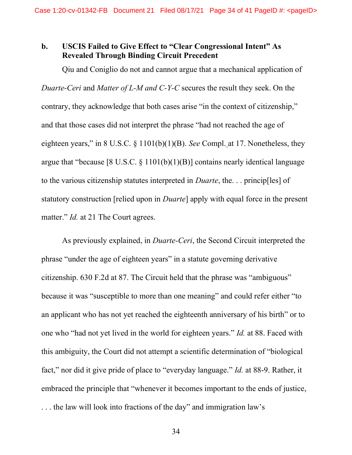## b. USCIS Failed to Give Effect to "Clear Congressional Intent" As Revealed Through Binding Circuit Precedent

Qiu and Coniglio do not and cannot argue that a mechanical application of Duarte-Ceri and Matter of L-M and C-Y-C secures the result they seek. On the contrary, they acknowledge that both cases arise "in the context of citizenship," and that those cases did not interpret the phrase "had not reached the age of eighteen years," in 8 U.S.C.  $\S$  1101(b)(1)(B). See Compl. at 17. Nonetheless, they argue that "because [8 U.S.C.  $\S 1101(b)(1)(B)$ ] contains nearly identical language to the various citizenship statutes interpreted in Duarte, the. . . princip[les] of statutory construction [relied upon in Duarte] apply with equal force in the present matter." *Id.* at 21 The Court agrees.

As previously explained, in *Duarte-Ceri*, the Second Circuit interpreted the phrase "under the age of eighteen years" in a statute governing derivative citizenship. 630 F.2d at 87. The Circuit held that the phrase was "ambiguous" because it was "susceptible to more than one meaning" and could refer either "to an applicant who has not yet reached the eighteenth anniversary of his birth" or to one who "had not yet lived in the world for eighteen years." Id. at 88. Faced with this ambiguity, the Court did not attempt a scientific determination of "biological fact," nor did it give pride of place to "everyday language." Id. at 88-9. Rather, it embraced the principle that "whenever it becomes important to the ends of justice, . . . the law will look into fractions of the day" and immigration law's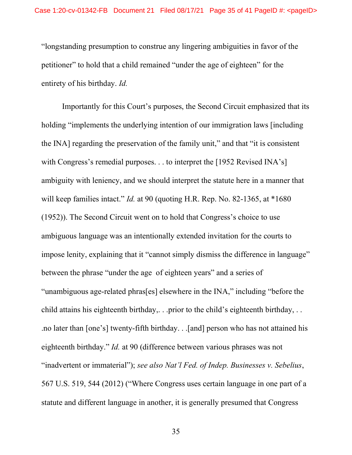"longstanding presumption to construe any lingering ambiguities in favor of the petitioner" to hold that a child remained "under the age of eighteen" for the entirety of his birthday. Id.

Importantly for this Court's purposes, the Second Circuit emphasized that its holding "implements the underlying intention of our immigration laws [including the INA] regarding the preservation of the family unit," and that "it is consistent with Congress's remedial purposes. . . to interpret the [1952 Revised INA's] ambiguity with leniency, and we should interpret the statute here in a manner that will keep families intact." *Id.* at 90 (quoting H.R. Rep. No. 82-1365, at \*1680) (1952)). The Second Circuit went on to hold that Congress's choice to use ambiguous language was an intentionally extended invitation for the courts to impose lenity, explaining that it "cannot simply dismiss the difference in language" between the phrase "under the age of eighteen years" and a series of "unambiguous age-related phras[es] elsewhere in the INA," including "before the child attains his eighteenth birthday,... prior to the child's eighteenth birthday,... .no later than [one's] twenty-fifth birthday. . .[and] person who has not attained his eighteenth birthday." Id. at 90 (difference between various phrases was not "inadvertent or immaterial"); see also Nat'l Fed. of Indep. Businesses v. Sebelius, 567 U.S. 519, 544 (2012) ("Where Congress uses certain language in one part of a statute and different language in another, it is generally presumed that Congress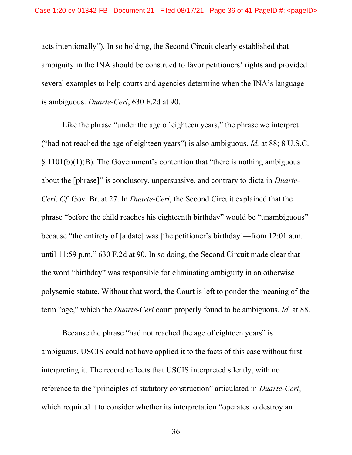acts intentionally"). In so holding, the Second Circuit clearly established that ambiguity in the INA should be construed to favor petitioners' rights and provided several examples to help courts and agencies determine when the INA's language is ambiguous. Duarte-Ceri, 630 F.2d at 90.

Like the phrase "under the age of eighteen years," the phrase we interpret ("had not reached the age of eighteen years") is also ambiguous. *Id.* at 88; 8 U.S.C. § 1101(b)(1)(B). The Government's contention that "there is nothing ambiguous about the [phrase]" is conclusory, unpersuasive, and contrary to dicta in Duarte-Ceri. Cf. Gov. Br. at 27. In Duarte-Ceri, the Second Circuit explained that the phrase "before the child reaches his eighteenth birthday" would be "unambiguous" because "the entirety of [a date] was [the petitioner's birthday]—from 12:01 a.m. until 11:59 p.m." 630 F.2d at 90. In so doing, the Second Circuit made clear that the word "birthday" was responsible for eliminating ambiguity in an otherwise polysemic statute. Without that word, the Court is left to ponder the meaning of the term "age," which the Duarte-Ceri court properly found to be ambiguous. Id. at 88.

Because the phrase "had not reached the age of eighteen years" is ambiguous, USCIS could not have applied it to the facts of this case without first interpreting it. The record reflects that USCIS interpreted silently, with no reference to the "principles of statutory construction" articulated in Duarte-Ceri, which required it to consider whether its interpretation "operates to destroy an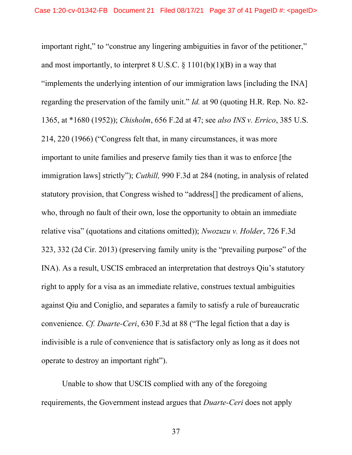important right," to "construe any lingering ambiguities in favor of the petitioner," and most importantly, to interpret 8 U.S.C.  $\S$  1101(b)(1)(B) in a way that "implements the underlying intention of our immigration laws [including the INA] regarding the preservation of the family unit." Id. at 90 (quoting H.R. Rep. No. 82- 1365, at \*1680 (1952)); Chisholm, 656 F.2d at 47; see also INS v. Errico, 385 U.S. 214, 220 (1966) ("Congress felt that, in many circumstances, it was more important to unite families and preserve family ties than it was to enforce [the immigration laws] strictly"); Cuthill, 990 F.3d at 284 (noting, in analysis of related statutory provision, that Congress wished to "address[] the predicament of aliens, who, through no fault of their own, lose the opportunity to obtain an immediate relative visa" (quotations and citations omitted)); Nwozuzu v. Holder, 726 F.3d 323, 332 (2d Cir. 2013) (preserving family unity is the "prevailing purpose" of the INA). As a result, USCIS embraced an interpretation that destroys Qiu's statutory right to apply for a visa as an immediate relative, construes textual ambiguities against Qiu and Coniglio, and separates a family to satisfy a rule of bureaucratic convenience. Cf. Duarte-Ceri, 630 F.3d at 88 ("The legal fiction that a day is indivisible is a rule of convenience that is satisfactory only as long as it does not operate to destroy an important right").

Unable to show that USCIS complied with any of the foregoing requirements, the Government instead argues that Duarte-Ceri does not apply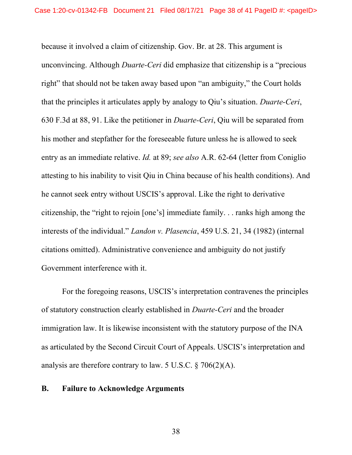because it involved a claim of citizenship. Gov. Br. at 28. This argument is unconvincing. Although Duarte-Ceri did emphasize that citizenship is a "precious right" that should not be taken away based upon "an ambiguity," the Court holds that the principles it articulates apply by analogy to Qiu's situation. Duarte-Ceri, 630 F.3d at 88, 91. Like the petitioner in Duarte-Ceri, Qiu will be separated from his mother and stepfather for the foreseeable future unless he is allowed to seek entry as an immediate relative. *Id.* at 89; see also A.R. 62-64 (letter from Coniglio attesting to his inability to visit Qiu in China because of his health conditions). And he cannot seek entry without USCIS's approval. Like the right to derivative citizenship, the "right to rejoin [one's] immediate family. . . ranks high among the interests of the individual." Landon v. Plasencia, 459 U.S. 21, 34 (1982) (internal citations omitted). Administrative convenience and ambiguity do not justify Government interference with it.

For the foregoing reasons, USCIS's interpretation contravenes the principles of statutory construction clearly established in Duarte-Ceri and the broader immigration law. It is likewise inconsistent with the statutory purpose of the INA as articulated by the Second Circuit Court of Appeals. USCIS's interpretation and analysis are therefore contrary to law. 5 U.S.C. § 706(2)(A).

#### B. Failure to Acknowledge Arguments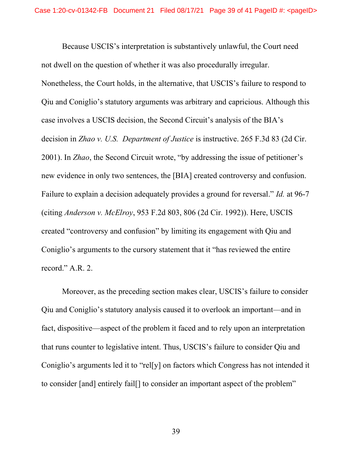Because USCIS's interpretation is substantively unlawful, the Court need not dwell on the question of whether it was also procedurally irregular. Nonetheless, the Court holds, in the alternative, that USCIS's failure to respond to Qiu and Coniglio's statutory arguments was arbitrary and capricious. Although this case involves a USCIS decision, the Second Circuit's analysis of the BIA's decision in *Zhao v. U.S. Department of Justice* is instructive. 265 F.3d 83 (2d Cir. 2001). In Zhao, the Second Circuit wrote, "by addressing the issue of petitioner's new evidence in only two sentences, the [BIA] created controversy and confusion. Failure to explain a decision adequately provides a ground for reversal." Id. at 96-7 (citing Anderson v. McElroy, 953 F.2d 803, 806 (2d Cir. 1992)). Here, USCIS created "controversy and confusion" by limiting its engagement with Qiu and Coniglio's arguments to the cursory statement that it "has reviewed the entire record." A.R. 2.

Moreover, as the preceding section makes clear, USCIS's failure to consider Qiu and Coniglio's statutory analysis caused it to overlook an important—and in fact, dispositive—aspect of the problem it faced and to rely upon an interpretation that runs counter to legislative intent. Thus, USCIS's failure to consider Qiu and Coniglio's arguments led it to "rel[y] on factors which Congress has not intended it to consider [and] entirely fail[] to consider an important aspect of the problem"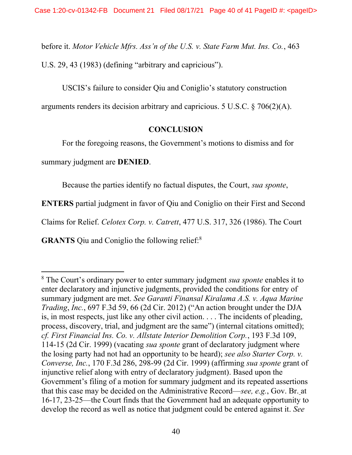before it. Motor Vehicle Mfrs. Ass'n of the U.S. v. State Farm Mut. Ins. Co., 463 U.S. 29, 43 (1983) (defining "arbitrary and capricious").

USCIS's failure to consider Qiu and Coniglio's statutory construction

arguments renders its decision arbitrary and capricious. 5 U.S.C. § 706(2)(A).

# **CONCLUSION**

For the foregoing reasons, the Government's motions to dismiss and for

summary judgment are DENIED.

Because the parties identify no factual disputes, the Court, sua sponte,

ENTERS partial judgment in favor of Qiu and Coniglio on their First and Second

Claims for Relief. Celotex Corp. v. Catrett, 477 U.S. 317, 326 (1986). The Court

GRANTS Qiu and Coniglio the following relief:<sup>8</sup>

<sup>&</sup>lt;sup>8</sup> The Court's ordinary power to enter summary judgment *sua sponte* enables it to enter declaratory and injunctive judgments, provided the conditions for entry of summary judgment are met. See Garanti Finansal Kiralama A.S. v. Aqua Marine Trading, Inc., 697 F.3d 59, 66 (2d Cir. 2012) ("An action brought under the DJA is, in most respects, just like any other civil action. . . . The incidents of pleading, process, discovery, trial, and judgment are the same") (internal citations omitted); cf. First Financial Ins. Co. v. Allstate Interior Demolition Corp., 193 F.3d 109, 114-15 (2d Cir. 1999) (vacating sua sponte grant of declaratory judgment where the losing party had not had an opportunity to be heard); see also Starter Corp. v. Converse, Inc., 170 F.3d 286, 298-99 (2d Cir. 1999) (affirming sua sponte grant of injunctive relief along with entry of declaratory judgment). Based upon the Government's filing of a motion for summary judgment and its repeated assertions that this case may be decided on the Administrative Record—see, e.g., Gov. Br. at 16-17, 23-25—the Court finds that the Government had an adequate opportunity to develop the record as well as notice that judgment could be entered against it. See